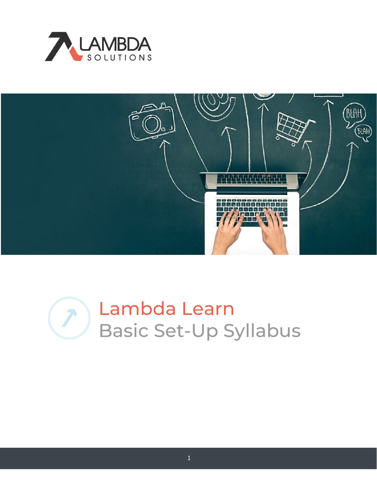



# Lambda Learn Basic Set-Up Syllabus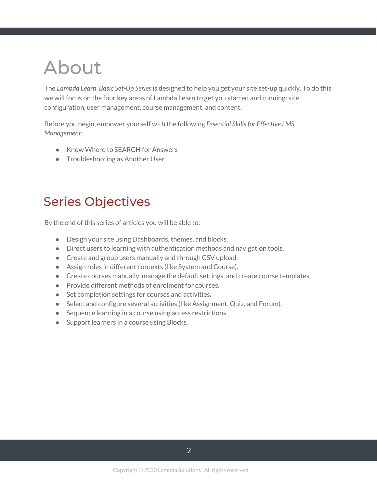## About

The *Lambda Learn Basic Set-Up Series*is designed to help you get your site set-up quickly. To do this we will focus on the four key areas of Lambda Learn to get you started and running: site configuration, user management, course management, and content.

Before you begin, empower yourself with the following *Essential Skillsfor Effective LMS Management*:

- Know Where to SEARCH for Answers
- Troubleshooting as Another User

### Series Objectives

By the end of this series of articles you will be able to:

- Design your site using Dashboards, themes, and blocks.
- Direct users to learning with authentication methods and navigation tools.
- Create and group users manually and through CSV upload.
- Assign roles in different contexts (like System and Course).
- Create courses manually, manage the default settings, and create course templates.
- Provide different methods of enrolment for courses.
- Set completion settings for courses and activities.
- Select and configure several activities (like Assignment, Quiz, and Forum).
- Sequence learning in a course using access restrictions.
- Support learners in a course using Blocks.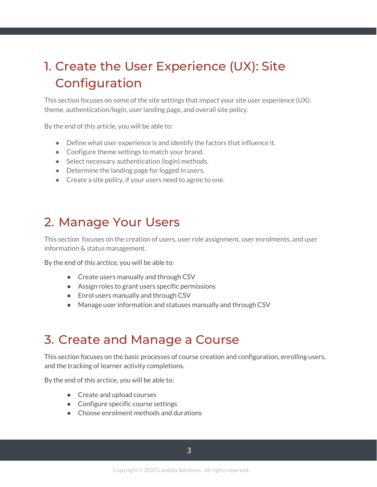## 1. Create the User Experience (UX): Site Configuration

This section focuses on some of the site settings that impact your site user experience (UX): theme, authentication/login, user landing page, and overall site policy.

By the end of this article, you will be able to:

- Define what user experience is and identify the factors that influence it.
- Configure theme settings to match your brand.
- Select necessary authentication (login) methods.
- Determine the landing page for logged in users.
- Create a site policy, if your users need to agree to one.

#### 2. Manage Your Users

This section focuses on the creation of users, user role assignment, user enrolments, and user information & status management.

By the end of this arctice, you will be able to:

- Create users manually and through CSV
- Assign roles to grant users specific permissions
- Enrol users manually and through CSV
- Manage user information and statuses manually and through CSV

#### 3. Create and Manage a Course

This section focuses on the basic processes of course creation and configuration, enrolling users, and the tracking of learner activity completions.

By the end of this arctice, you will be able to:

- Create and upload courses
- Configure specific course settings
- Choose enrolment methods and durations